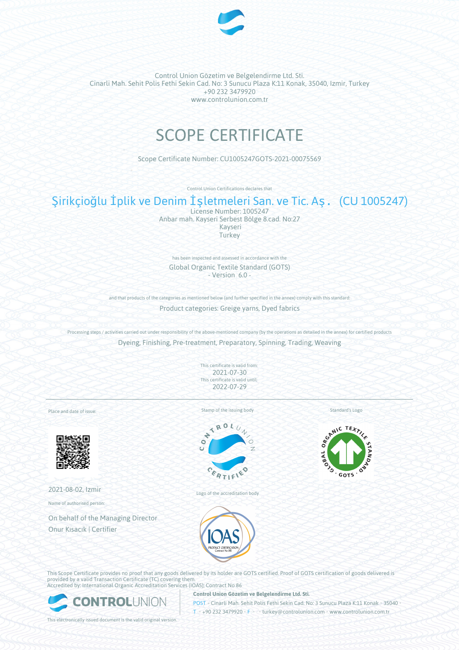

Control Union Gözetim ve Belgelendirme Ltd. Sti. Cinarli Mah. Sehit Polis Fethi Sekin Cad. No: 3 Sunucu Plaza K:11 Konak, 35040, Izmir, Turkey +90 232 3479920 www.controlunion.com.tr

# SCOPE CERTIFICATE

Scope Certificate Number: CU1005247GOTS-2021-00075569

Control Union Certifications declares that

## Şirikçioğlu İplik ve Denim İşletmeleri San. ve Tic. Aş. (CU 1005247)

License Number: 1005247 Anbar mah. Kayseri Serbest Bölge 8.cad. No:27 Kayseri **Turkey** 

has been inspected and assessed in accordance with the Global Organic Textile Standard (GOTS) - Version 6.0 -

and that products of the categories as mentioned below (and further specified in the annex) comply with this standard: Product categories: Greige yarns, Dyed fabrics

Processing steps / activities carried out under responsibility of the above-mentioned company (by the operations as detailed in the annex) for certified products Dyeing, Finishing, Pre-treatment, Preparatory, Spinning, Trading, Weaving

> This certificate is valid from: 2021-07-30 This certificate is valid until: 2022-07-29

Place and date of issue:



2021-08-02, Izmir

Name of authorised person:

On behalf of the Managing Director Onur Kısacık | Certifier

Stamp of the issuing body



Logo of the accreditation body



Standard's Logo

This Scope Certificate provides no proof that any goods delivered by its holder are GOTS certified. Proof of GOTS certification of goods delivered is provided by a valid Transaction Certificate (TC) covering them. Accredited by: International Organic Accreditation Services (IOAS); Contract No 86



**Control Union Gözetim ve Belgelendirme Ltd. Sti.**

POST • Cinarli Mah. Sehit Polis Fethi Sekin Cad. No: 3 Sunucu Plaza K:11 Konak • 35040 •

This electronically issued document is the valid original version.

T • +90 232 3479920 • F • • turkey@controlunion.com • www.controlunion.com.tr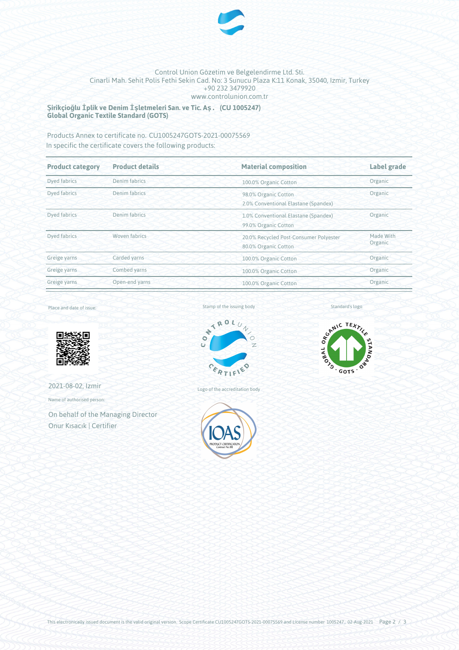

#### Control Union Gözetim ve Belgelendirme Ltd. Sti. Cinarli Mah. Sehit Polis Fethi Sekin Cad. No: 3 Sunucu Plaza K:11 Konak, 35040, Izmir, Turkey +90 232 3479920 www.controlunion.com.tr

**Şirikçioğlu İplik ve Denim İşletmeleri San. ve Tic. Aş. (CU 1005247) Global Organic Textile Standard (GOTS)**

Products Annex to certificate no. CU1005247GOTS-2021-00075569 In specific the certificate covers the following products:

| <b>Product category</b> | <b>Product details</b> | <b>Material composition</b>                                                            | <b>Label grade</b> |  |
|-------------------------|------------------------|----------------------------------------------------------------------------------------|--------------------|--|
| Dyed fabrics            | Denim fabrics          | 100.0% Organic Cotton                                                                  | Organic            |  |
| Dyed fabrics            | Denim fabrics          | Organic<br>98.0% Organic Cotton<br>2.0% Conventional Elastane (Spandex)                |                    |  |
| Dyed fabrics            | Denim fabrics          | 1.0% Conventional Elastane (Spandex)<br>99.0% Organic Cotton                           | Organic            |  |
| Dyed fabrics            | Woven fabrics          | Made With<br>20.0% Recycled Post-Consumer Polyester<br>Organic<br>80.0% Organic Cotton |                    |  |
| Greige yarns            | Carded yarns           | 100.0% Organic Cotton                                                                  | Organic            |  |
| Greige yarns            | Combed yarns           | 100.0% Organic Cotton                                                                  | Organic            |  |
| Greige yarns            | Open-end yarns         | 100.0% Organic Cotton                                                                  | Organic            |  |

Place and date of issue:



2021-08-02, Izmir

Name of authorised person:

On behalf of the Managing Director Onur Kısacık | Certifier

Stamp of the issuing body



Logo of the accreditation body





Standard's logo